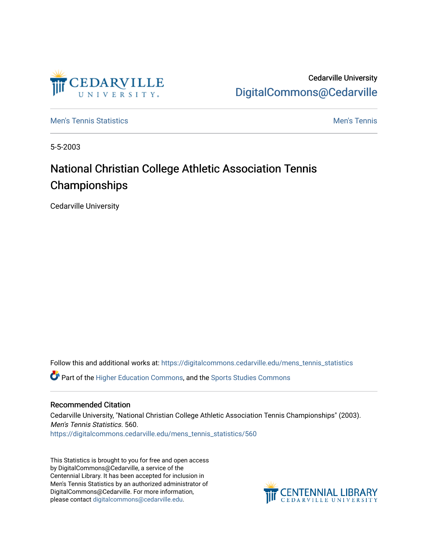

Cedarville University [DigitalCommons@Cedarville](https://digitalcommons.cedarville.edu/) 

**[Men's Tennis Statistics](https://digitalcommons.cedarville.edu/mens_tennis_statistics) Mental According to the Control of Control According Mental Men's Tennis** 

5-5-2003

# National Christian College Athletic Association Tennis Championships

Cedarville University

Follow this and additional works at: [https://digitalcommons.cedarville.edu/mens\\_tennis\\_statistics](https://digitalcommons.cedarville.edu/mens_tennis_statistics?utm_source=digitalcommons.cedarville.edu%2Fmens_tennis_statistics%2F560&utm_medium=PDF&utm_campaign=PDFCoverPages)

Part of the [Higher Education Commons,](http://network.bepress.com/hgg/discipline/1245?utm_source=digitalcommons.cedarville.edu%2Fmens_tennis_statistics%2F560&utm_medium=PDF&utm_campaign=PDFCoverPages) and the [Sports Studies Commons](http://network.bepress.com/hgg/discipline/1198?utm_source=digitalcommons.cedarville.edu%2Fmens_tennis_statistics%2F560&utm_medium=PDF&utm_campaign=PDFCoverPages) 

#### Recommended Citation

Cedarville University, "National Christian College Athletic Association Tennis Championships" (2003). Men's Tennis Statistics. 560. [https://digitalcommons.cedarville.edu/mens\\_tennis\\_statistics/560](https://digitalcommons.cedarville.edu/mens_tennis_statistics/560?utm_source=digitalcommons.cedarville.edu%2Fmens_tennis_statistics%2F560&utm_medium=PDF&utm_campaign=PDFCoverPages) 

This Statistics is brought to you for free and open access by DigitalCommons@Cedarville, a service of the Centennial Library. It has been accepted for inclusion in Men's Tennis Statistics by an authorized administrator of DigitalCommons@Cedarville. For more information, please contact [digitalcommons@cedarville.edu](mailto:digitalcommons@cedarville.edu).

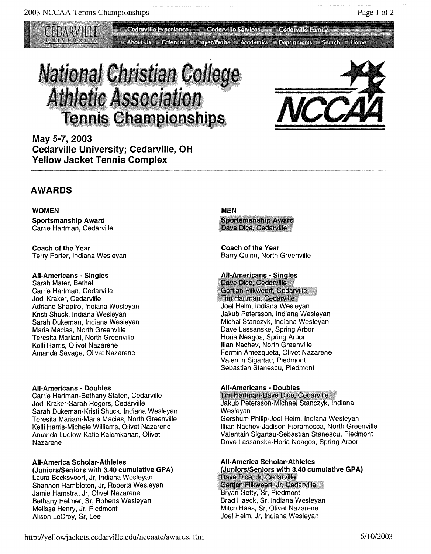Cedarville Experience **Cedarville Services** 

**Example 20 About Us E Calendar EX Prayer/Praise EX Academics EX Departments EX Search EX Home** 

# **National Christian College Athletic Association Tennis Championships**



**Cedarville Family** 

**May 5-7, 2003 Cedarville University; Cedarville, OH Yellow Jacket Tennis Complex** 

## **AWARDS**

**WOMEN Sportsmanship Award**  Carrie Hartman, Cedarville

**Coach of the Year**  Terry Porter, Indiana Wesleyan

#### **All-Americans - Singles**

Sarah Mater, Bethel Carrie Hartman, Cedarville Jodi Kraker, Cedarville Adriane Shapiro, Indiana Wesleyan Kristi Shuck, Indiana Wesleyan Sarah Dukeman, Indiana Wesleyan Maria Macias, North Greenville Teresita Mariani, North Greenville Kelli Harris, Olivet Nazarene Amanda Savage, Olivet Nazarene

#### **All-Americans - Doubles**

Carrie Hartman-Bethany Staten, Cedarville Jodi Kraker-Sarah Rogers, Cedarville Sarah Dukeman-Kristi Shuck, Indiana Wesleyan Teresita Mariani-Maria Macias, North Greenville Kelli Harris-Michele Williams, Olivet Nazarene Amanda Ludlow-Katie Kalemkarian, Olivet Nazarene

#### **All-America Scholar-Athletes (Juniors/Seniors with 3.40 cumulative GPA)**  Laura Becksvoort, Jr, Indiana Wesleyan

Shannon Hambleton, Jr, Roberts Wesleyan Jamie Hamstra, Jr, Olivet Nazarene Bethany Helmer, Sr, Roberts Wesleyan Melissa Henry, Jr, Piedmont Alison Lecroy, Sr, Lee

#### **MEN**

**Sportsmanship Award** Dave Dice, Cedarville

**Coach of the Year**  Barry Quinn, North Greenville

#### **All-Americans - Singles**

Dave Dice, Cedarville Gertjan Flikweert, Cedarville Tim Hartman, Cedarville Joel Helm, Indiana Wesleyan Jakub Petersson, Indiana Wesleyan Michal Stanczyk, Indiana Wesleyan Dave Lassanske, Spring Arbor Horia Neagos, Spring Arbor llian Nachev, North Greenville Fermin Amezqueta, Olivet Nazarene Valentin Sigartau, Piedmont Sebastian Stanescu, Piedmont

**All-Americans - Doubles**  Jakub Petersson-Michael Stanczyk, Indiana Wesleyan Gershum Philip-Joel Helm, Indiana Wesleyan Illian Nachev-Jadison Fioramosca, North Greenville Valentain Sigartau-Sebastian Stanescu, Piedmont Dave Lassanske-Horia Neagos, Spring Arbor

#### **All-America Scholar-Athletes**  (Juniors/Seniors with 3.40 cumulative GPA) Dave Dice, Jr, Cedarville

Gertjan Flikweert, Jr, Cedarville Bryan Getty, Sr, Piedmont Brad Haeck, Sr, Indiana Wesleyan Mitch Haas, Sr, Olivet Nazarene Joel Helm, Jr, Indiana Wesleyan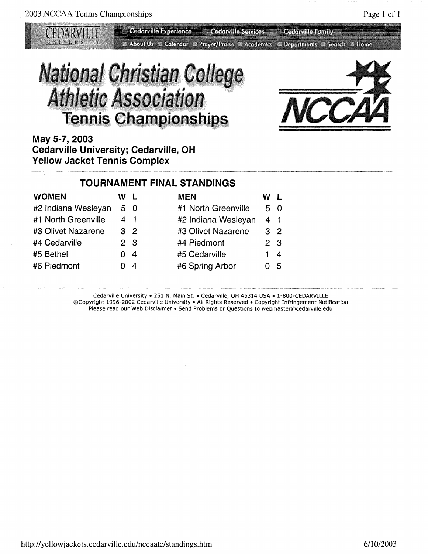Cedarville Experience Cedarville Services Cedarville Family About Us M Calendar M Prayer/Praise M Academics M Departments M Search M Home

# **National Christian College Athletic Association Tennis Championships**



**May 5-7, 2003 Cedarville University; Cedarville, OH Yellow Jacket Tennis Complex** 

### **TOURNAMENT FINAL STANDINGS**

| <b>WOMEN</b>        | W L            |    | <b>MEN</b>          | w              |    |
|---------------------|----------------|----|---------------------|----------------|----|
| #2 Indiana Wesleyan | 5 0            |    | #1 North Greenville | 50             |    |
| #1 North Greenville | 41             |    | #2 Indiana Wesleyan | 41             |    |
| #3 Olivet Nazarene  | 3 <sup>2</sup> |    | #3 Olivet Nazarene  | 3 <sup>2</sup> |    |
| #4 Cedarville       | 2 <sub>3</sub> |    | #4 Piedmont         | 2 <sub>3</sub> |    |
| #5 Bethel           | 0 <sub>4</sub> |    | #5 Cedarville       | 14             |    |
| #6 Piedmont         |                | -4 | #6 Spring Arbor     |                | -5 |

Cedarville University• 251 N. Main St. • Cedarville, OH 45314 USA • 1-800-CEDARVILLE ©Copyright 1996-2002 Cedarville University• All Rights Reserved • Copyright Infringement Notification Please read our Web Disclaimer • Send Problems or Questions to webmaster@cedarville.edu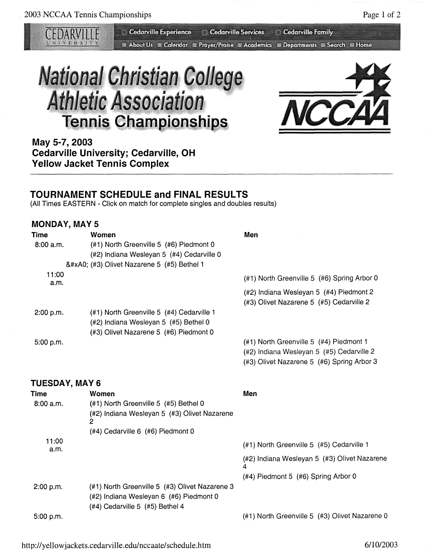Cedarville Experience C Cedarville Services C Cedarville Family **Et About Us & Calendar & Prayer/Praise & Academics & Departments & Search & Home** 





**May 5-7, 2003 Cedarville University; Cedarville, OH Yellow Jacket Tennis Complex** 

### **TOURNAMENT SCHEDULE and FINAL RESULTS**

(All Times EASTERN - Click on match for complete singles and doubles results)

#### **MONDAY, MAY 5**

| Time          | Women                                     | Men                                         |
|---------------|-------------------------------------------|---------------------------------------------|
| 8:00 a.m.     | (#1) North Greenville 5 (#6) Piedmont 0   |                                             |
|               | (#2) Indiana Wesleyan 5 (#4) Cedarville 0 |                                             |
|               | (#3) Olivet Nazarene 5 (#5) Bethel 1      |                                             |
| 11:00<br>a.m. |                                           | (#1) North Greenville 5 (#6) Spring Arbor 0 |
|               |                                           | (#2) Indiana Wesleyan 5 (#4) Piedmont 2     |
|               |                                           | (#3) Olivet Nazarene 5 (#5) Cedarville 2    |
| 2:00 p.m.     | (#1) North Greenville 5 (#4) Cedarville 1 |                                             |
|               | (#2) Indiana Wesleyan 5 (#5) Bethel 0     |                                             |
|               | (#3) Olivet Nazarene 5 (#6) Piedmont 0    |                                             |
| 5.00 p.m.     |                                           | (#1) North Greenville 5 (#4) Piedmont 1     |
|               |                                           | (#2) Indiana Wesleyan 5 (#5) Cedarville 2   |

#### **TUESDAY, MAY 6**

(#3) Olivet Nazarene 5 (#6) Spring Arbor 3

| Time          | Women                                             | Men                                               |
|---------------|---------------------------------------------------|---------------------------------------------------|
| 8:00 a.m.     | (#1) North Greenville 5 (#5) Bethel 0             |                                                   |
|               | (#2) Indiana Wesleyan 5 (#3) Olivet Nazarene<br>2 |                                                   |
|               | (#4) Cedarville 6 (#6) Piedmont 0                 |                                                   |
| 11:00<br>a.m. |                                                   | $(#1)$ North Greenville 5 $(#5)$ Cedarville 1     |
|               |                                                   | (#2) Indiana Wesleyan 5 (#3) Olivet Nazarene<br>4 |
|               |                                                   | (#4) Piedmont 5 (#6) Spring Arbor 0               |
| 2:00 p.m.     | (#1) North Greenville 5 (#3) Olivet Nazarene 3    |                                                   |
|               | (#2) Indiana Wesleyan 6 (#6) Piedmont 0           |                                                   |
|               | (#4) Cedarville 5 (#5) Bethel 4                   |                                                   |
| 5:00 p.m.     |                                                   | (#1) North Greenville 5 (#3) Olivet Nazarene 0    |